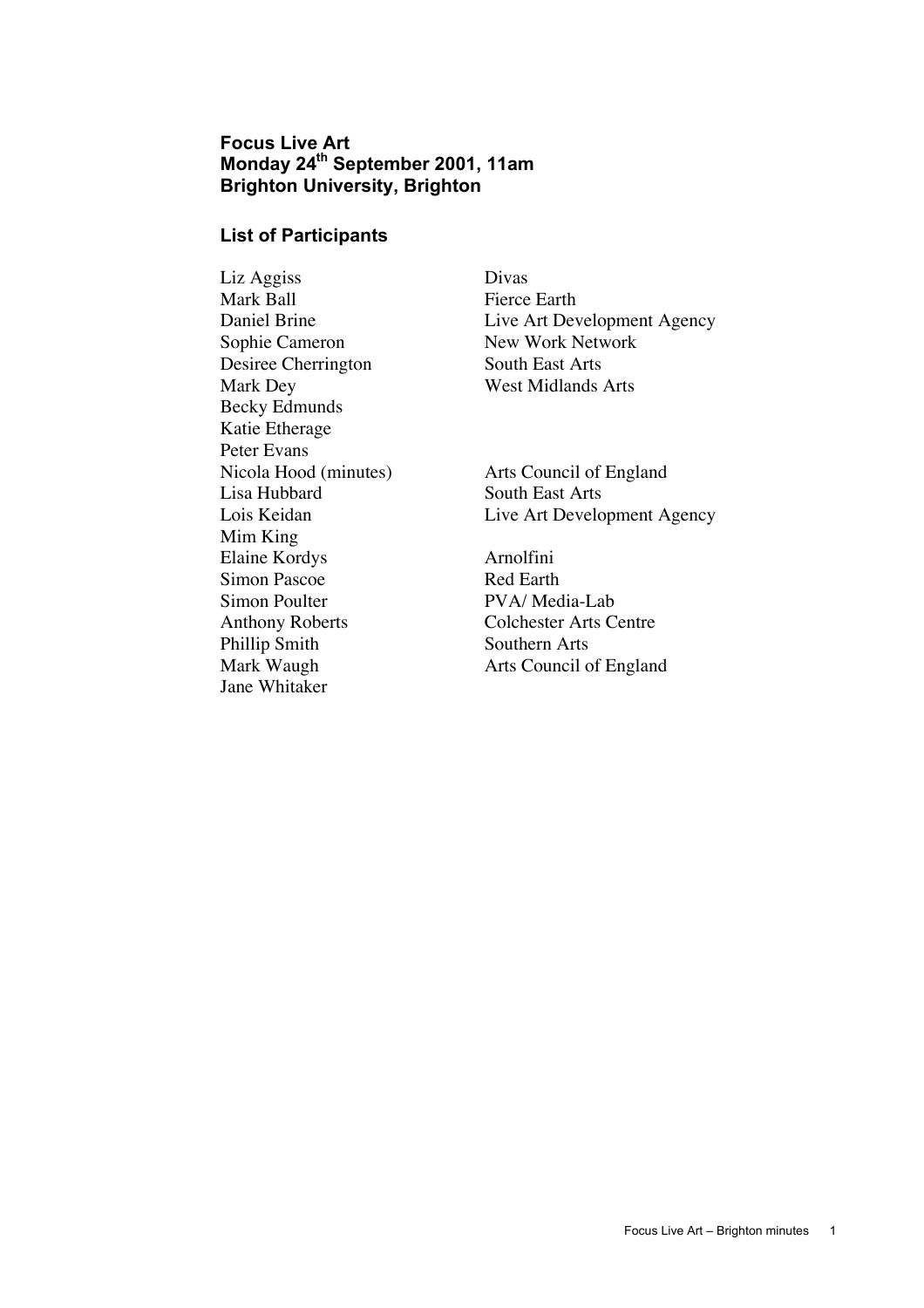# **Focus Live Art Monday 24th September 2001, 11am Brighton University, Brighton**

#### **List of Participants**

Liz Aggiss Divas Sophie Cameron New Work Network Desiree Cherrington South East Arts Mark Dey West Midlands Arts Becky Edmunds Katie Etherage Peter Evans<br>Nicola Hood (minutes) Lisa Hubbard South East Arts Mim King Elaine Kordys Arnolfini Simon Pascoe Red Earth Simon Poulter PVA/ Media-Lab Anthony Roberts Colchester Arts Centre Phillip Smith Southern Arts Jane Whitaker

Fierce Earth Daniel Brine Live Art Development Agency

Arts Council of England Lois Keidan Live Art Development Agency

Mark Waugh **Arts Council of England**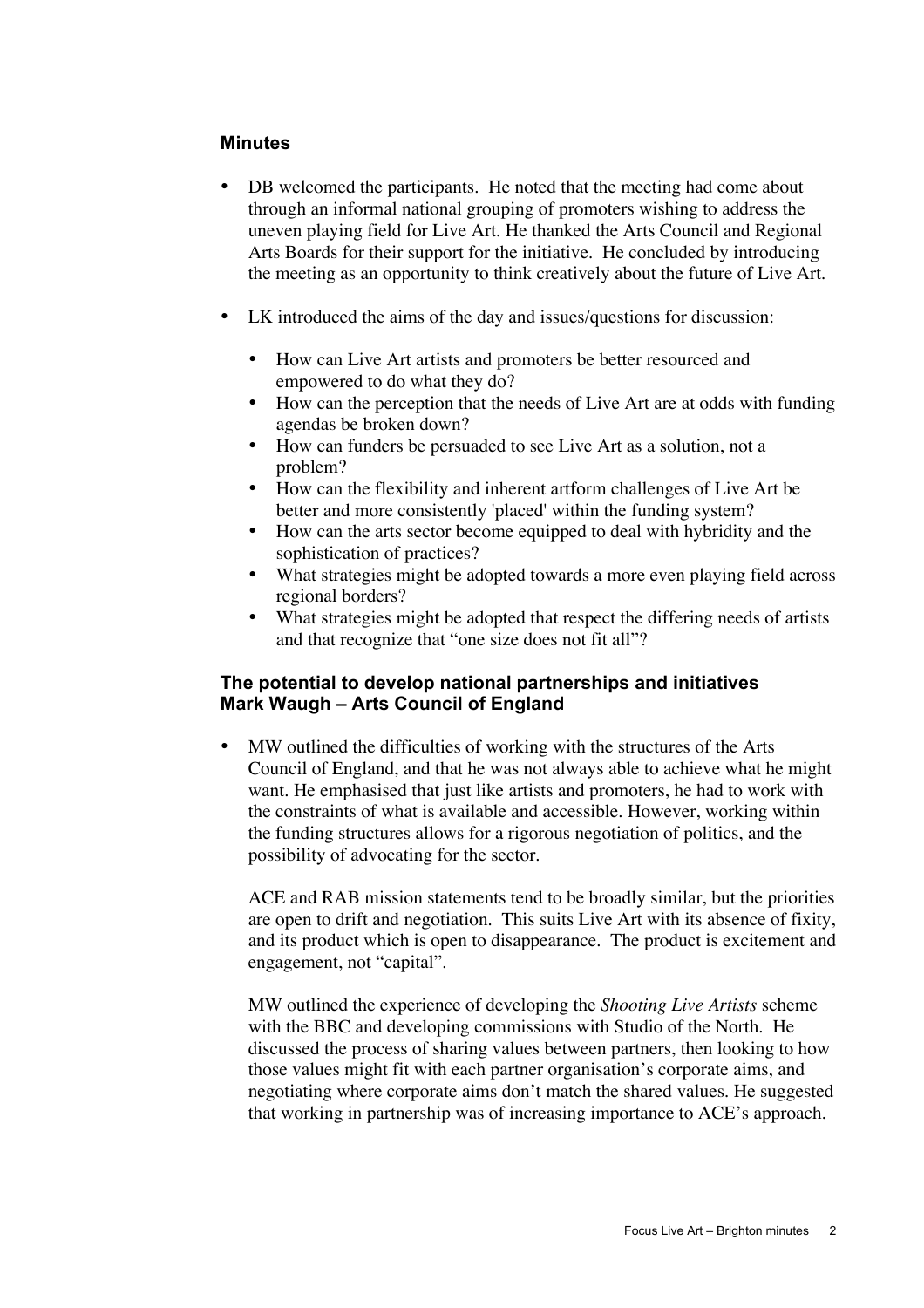#### **Minutes**

DB welcomed the participants. He noted that the meeting had come about through an informal national grouping of promoters wishing to address the uneven playing field for Live Art. He thanked the Arts Council and Regional Arts Boards for their support for the initiative. He concluded by introducing the meeting as an opportunity to think creatively about the future of Live Art.

LK introduced the aims of the day and issues/questions for discussion:

How can Live Art artists and promoters be better resourced and empowered to do what they do?

How can the perception that the needs of Live Art are at odds with funding agendas be broken down?

How can funders be persuaded to see Live Art as a solution, not a problem?

How can the flexibility and inherent artform challenges of Live Art be better and more consistently 'placed' within the funding system?

How can the arts sector become equipped to deal with hybridity and the sophistication of practices?

What strategies might be adopted towards a more even playing field across regional borders?

What strategies might be adopted that respect the differing needs of artists and that recognize that "one size does not fit all"?

#### **The potential to develop national partnerships and initiatives Mark Waugh – Arts Council of England**

MW outlined the difficulties of working with the structures of the Arts Council of England, and that he was not always able to achieve what he might want. He emphasised that just like artists and promoters, he had to work with the constraints of what is available and accessible. However, working within the funding structures allows for a rigorous negotiation of politics, and the possibility of advocating for the sector.

ACE and RAB mission statements tend to be broadly similar, but the priorities are open to drift and negotiation. This suits Live Art with its absence of fixity, and its product which is open to disappearance. The product is excitement and engagement, not "capital".

MW outlined the experience of developing the *Shooting Live Artists* scheme with the BBC and developing commissions with Studio of the North. He discussed the process of sharing values between partners, then looking to how those values might fit with each partner organisation's corporate aims, and negotiating where corporate aims don't match the shared values. He suggested that working in partnership was of increasing importance to ACE's approach.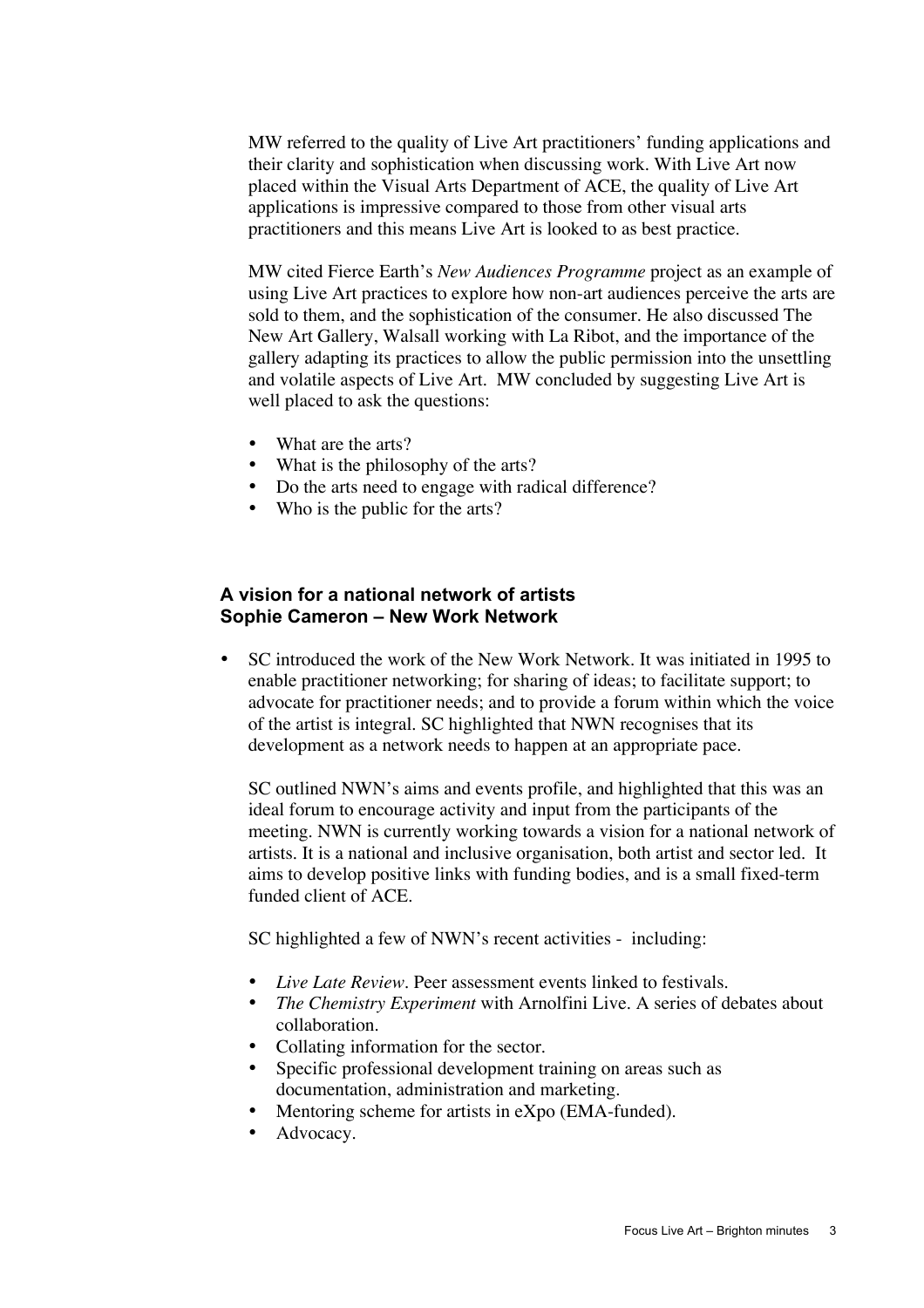MW referred to the quality of Live Art practitioners' funding applications and their clarity and sophistication when discussing work. With Live Art now placed within the Visual Arts Department of ACE, the quality of Live Art applications is impressive compared to those from other visual arts practitioners and this means Live Art is looked to as best practice.

MW cited Fierce Earth's *New Audiences Programme* project as an example of using Live Art practices to explore how non-art audiences perceive the arts are sold to them, and the sophistication of the consumer. He also discussed The New Art Gallery, Walsall working with La Ribot, and the importance of the gallery adapting its practices to allow the public permission into the unsettling and volatile aspects of Live Art. MW concluded by suggesting Live Art is well placed to ask the questions:

What are the arts? What is the philosophy of the arts? Do the arts need to engage with radical difference? Who is the public for the arts?

### **A vision for a national network of artists Sophie Cameron – New Work Network**

SC introduced the work of the New Work Network. It was initiated in 1995 to enable practitioner networking; for sharing of ideas; to facilitate support; to advocate for practitioner needs; and to provide a forum within which the voice of the artist is integral. SC highlighted that NWN recognises that its development as a network needs to happen at an appropriate pace.

SC outlined NWN's aims and events profile, and highlighted that this was an ideal forum to encourage activity and input from the participants of the meeting. NWN is currently working towards a vision for a national network of artists. It is a national and inclusive organisation, both artist and sector led. It aims to develop positive links with funding bodies, and is a small fixed-term funded client of ACE.

SC highlighted a few of NWN's recent activities - including:

*Live Late Review*. Peer assessment events linked to festivals. *The Chemistry Experiment* with Arnolfini Live. A series of debates about collaboration. Collating information for the sector. Specific professional development training on areas such as documentation, administration and marketing. Mentoring scheme for artists in eXpo (EMA-funded). Advocacy.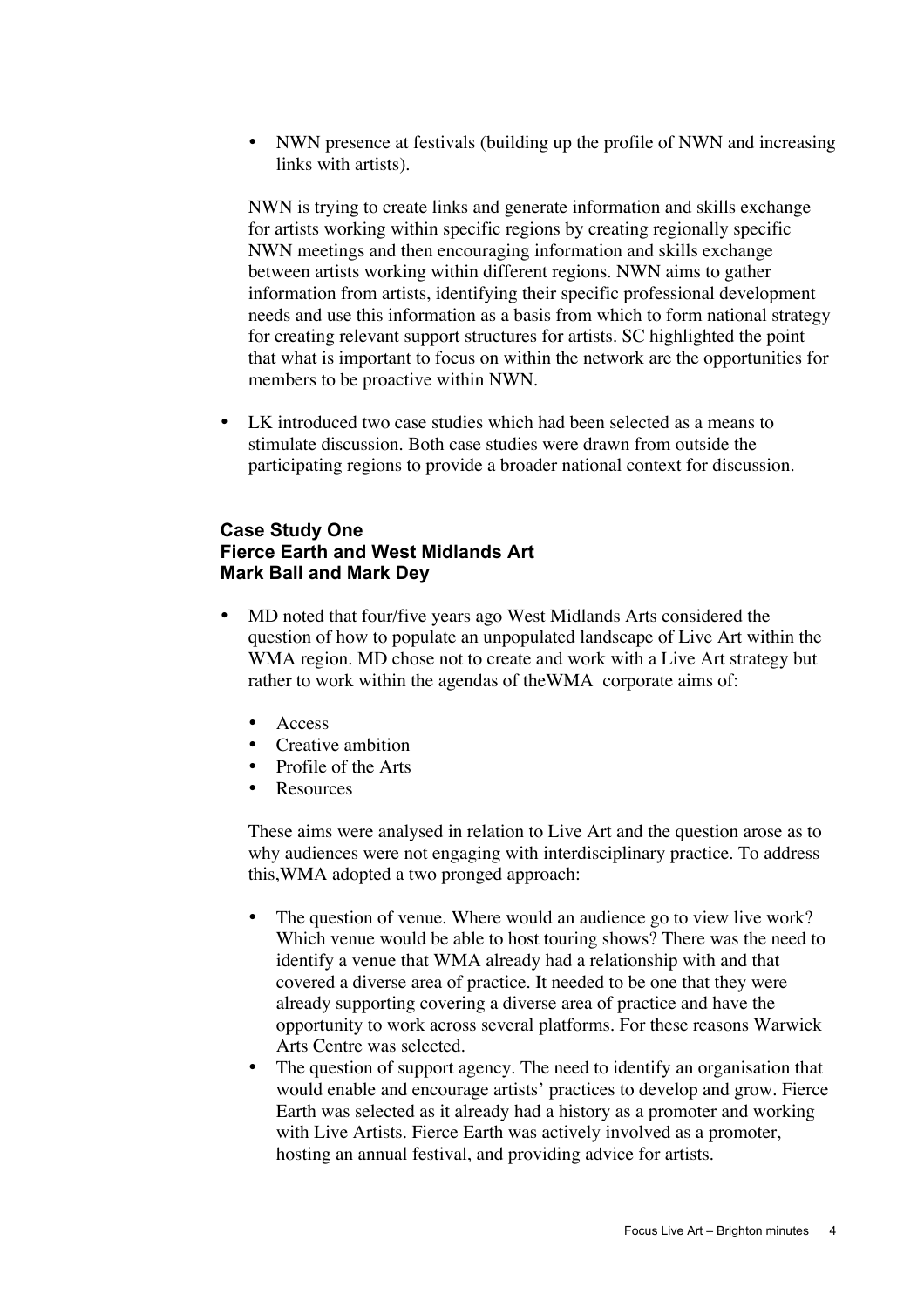NWN presence at festivals (building up the profile of NWN and increasing links with artists).

NWN is trying to create links and generate information and skills exchange for artists working within specific regions by creating regionally specific NWN meetings and then encouraging information and skills exchange between artists working within different regions. NWN aims to gather information from artists, identifying their specific professional development needs and use this information as a basis from which to form national strategy for creating relevant support structures for artists. SC highlighted the point that what is important to focus on within the network are the opportunities for members to be proactive within NWN.

LK introduced two case studies which had been selected as a means to stimulate discussion. Both case studies were drawn from outside the participating regions to provide a broader national context for discussion.

### **Case Study One Fierce Earth and West Midlands Art Mark Ball and Mark Dey**

MD noted that four/five years ago West Midlands Arts considered the question of how to populate an unpopulated landscape of Live Art within the WMA region. MD chose not to create and work with a Live Art strategy but rather to work within the agendas of theWMA corporate aims of:

Access Creative ambition Profile of the Arts **Resources** 

These aims were analysed in relation to Live Art and the question arose as to why audiences were not engaging with interdisciplinary practice. To address this,WMA adopted a two pronged approach:

The question of venue. Where would an audience go to view live work? Which venue would be able to host touring shows? There was the need to identify a venue that WMA already had a relationship with and that covered a diverse area of practice. It needed to be one that they were already supporting covering a diverse area of practice and have the opportunity to work across several platforms. For these reasons Warwick Arts Centre was selected.

The question of support agency. The need to identify an organisation that would enable and encourage artists' practices to develop and grow. Fierce Earth was selected as it already had a history as a promoter and working with Live Artists. Fierce Earth was actively involved as a promoter, hosting an annual festival, and providing advice for artists.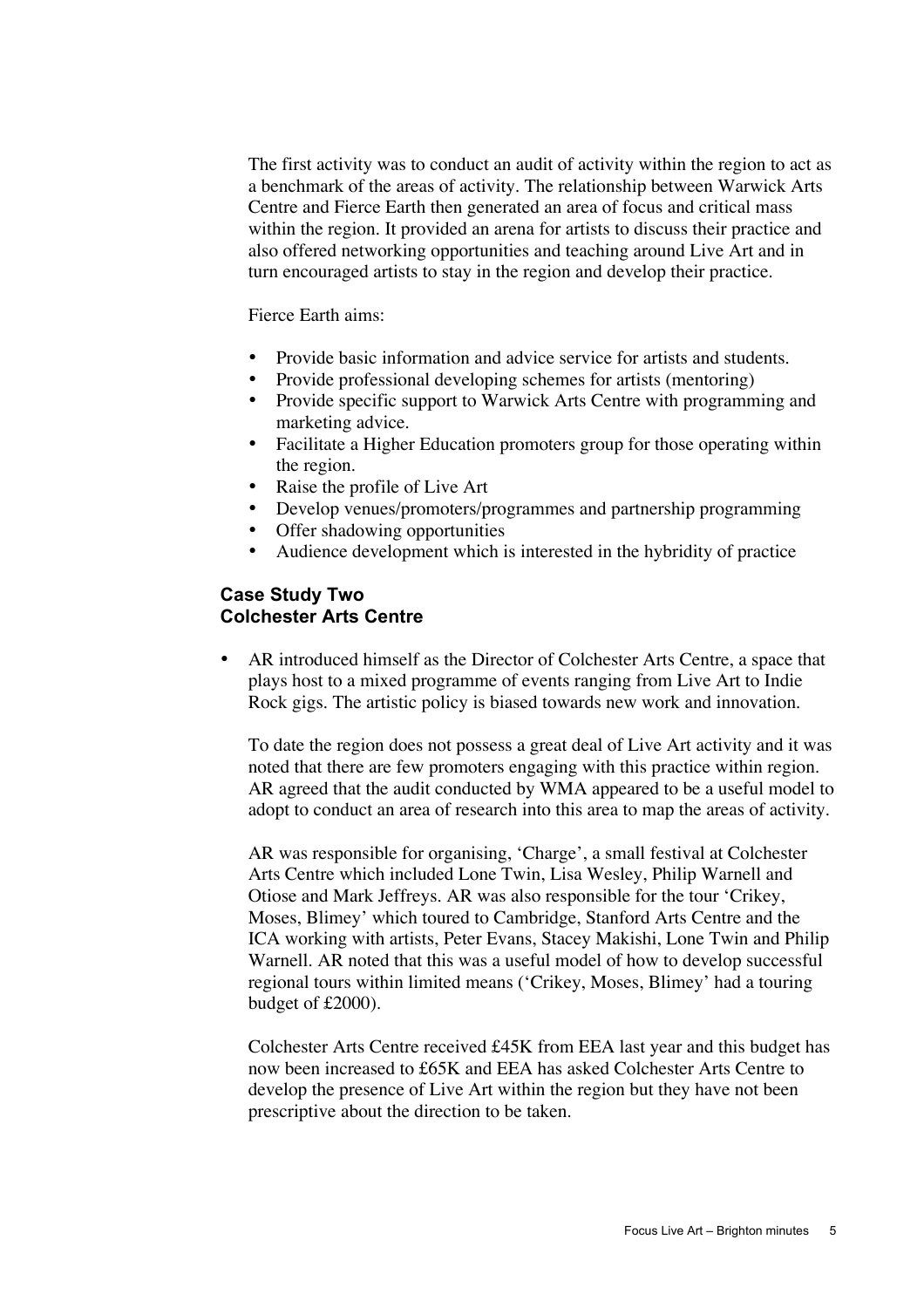The first activity was to conduct an audit of activity within the region to act as a benchmark of the areas of activity. The relationship between Warwick Arts Centre and Fierce Earth then generated an area of focus and critical mass within the region. It provided an arena for artists to discuss their practice and also offered networking opportunities and teaching around Live Art and in turn encouraged artists to stay in the region and develop their practice.

Fierce Earth aims:

Provide basic information and advice service for artists and students. Provide professional developing schemes for artists (mentoring) Provide specific support to Warwick Arts Centre with programming and marketing advice.

Facilitate a Higher Education promoters group for those operating within the region.

Raise the profile of Live Art

Develop venues/promoters/programmes and partnership programming Offer shadowing opportunities

Audience development which is interested in the hybridity of practice

### **Case Study Two Colchester Arts Centre**

AR introduced himself as the Director of Colchester Arts Centre, a space that plays host to a mixed programme of events ranging from Live Art to Indie Rock gigs. The artistic policy is biased towards new work and innovation.

To date the region does not possess a great deal of Live Art activity and it was noted that there are few promoters engaging with this practice within region. AR agreed that the audit conducted by WMA appeared to be a useful model to adopt to conduct an area of research into this area to map the areas of activity.

AR was responsible for organising, 'Charge', a small festival at Colchester Arts Centre which included Lone Twin, Lisa Wesley, Philip Warnell and Otiose and Mark Jeffreys. AR was also responsible for the tour 'Crikey, Moses, Blimey' which toured to Cambridge, Stanford Arts Centre and the ICA working with artists, Peter Evans, Stacey Makishi, Lone Twin and Philip Warnell. AR noted that this was a useful model of how to develop successful regional tours within limited means ('Crikey, Moses, Blimey' had a touring budget of £2000).

Colchester Arts Centre received £45K from EEA last year and this budget has now been increased to £65K and EEA has asked Colchester Arts Centre to develop the presence of Live Art within the region but they have not been prescriptive about the direction to be taken.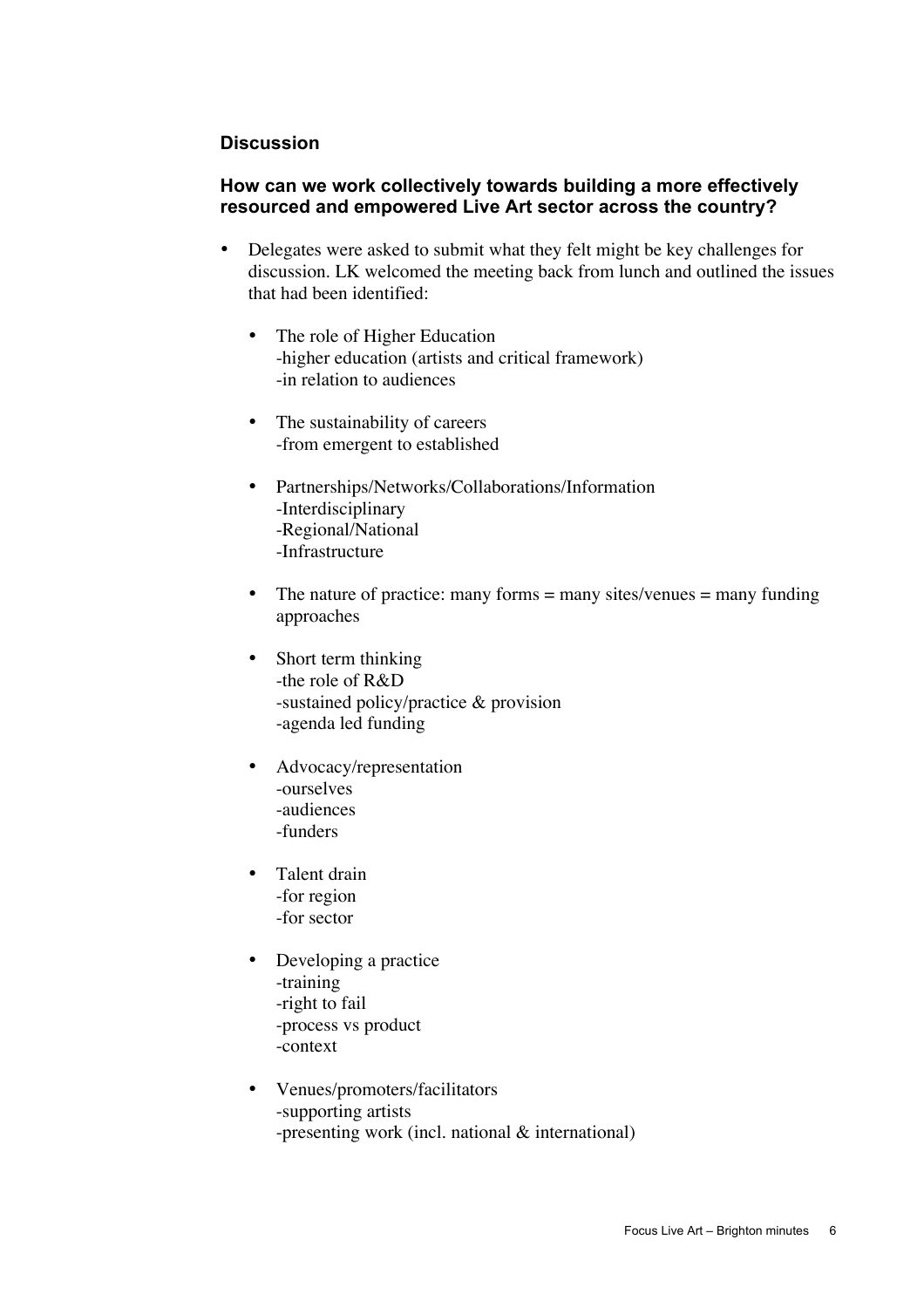#### **Discussion**

### **How can we work collectively towards building a more effectively resourced and empowered Live Art sector across the country?**

Delegates were asked to submit what they felt might be key challenges for discussion. LK welcomed the meeting back from lunch and outlined the issues that had been identified:

The role of Higher Education -higher education (artists and critical framework) -in relation to audiences

The sustainability of careers -from emergent to established

Partnerships/Networks/Collaborations/Information -Interdisciplinary -Regional/National -Infrastructure

The nature of practice: many forms  $=$  many sites/venues  $=$  many funding approaches

Short term thinking -the role of R&D -sustained policy/practice & provision -agenda led funding

Advocacy/representation -ourselves -audiences -funders

Talent drain -for region -for sector

Developing a practice -training -right to fail -process vs product -context

Venues/promoters/facilitators -supporting artists -presenting work (incl. national & international)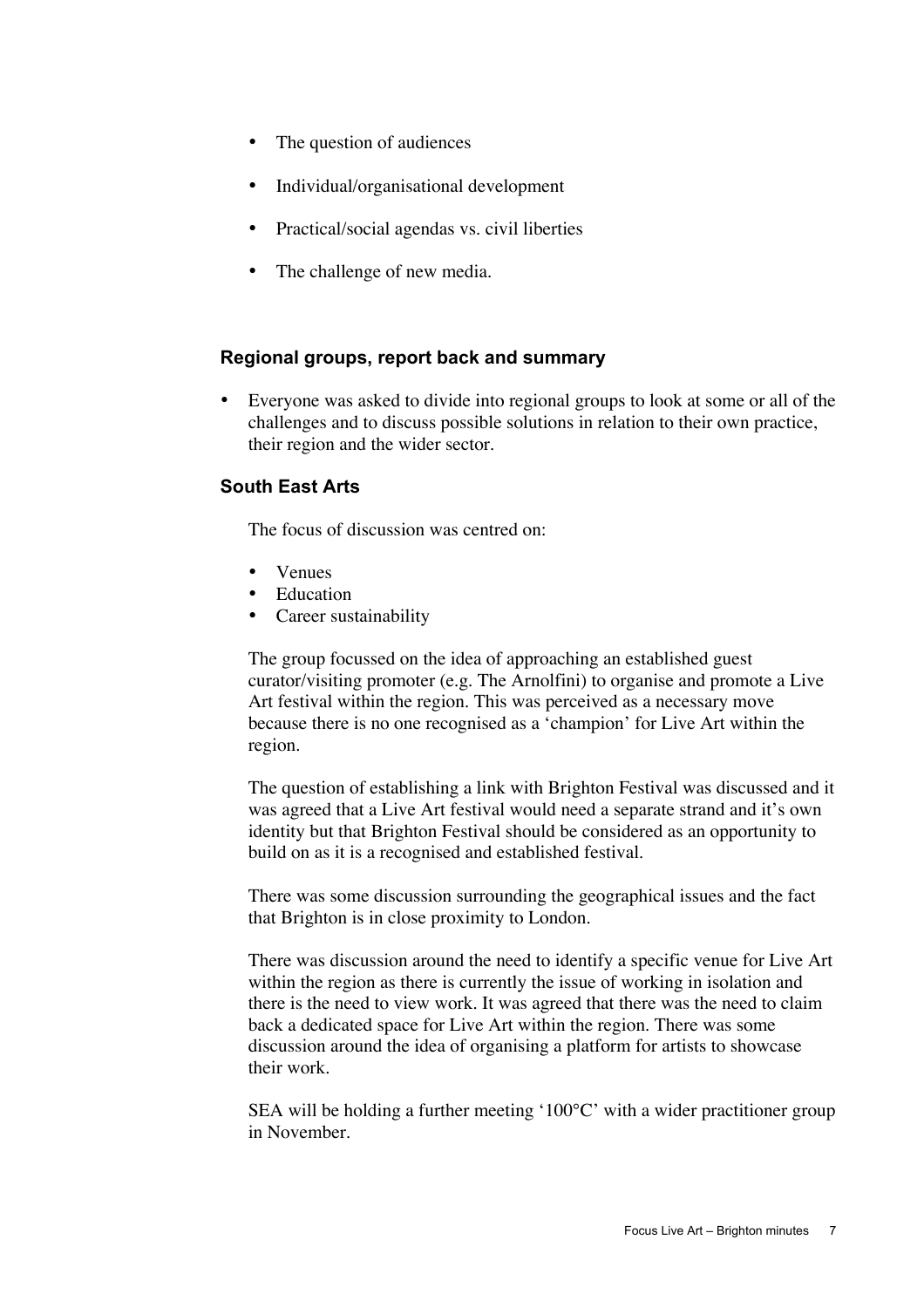The question of audiences

Individual/organisational development

Practical/social agendas vs. civil liberties

The challenge of new media.

#### **Regional groups, report back and summary**

Everyone was asked to divide into regional groups to look at some or all of the challenges and to discuss possible solutions in relation to their own practice, their region and the wider sector.

# **South East Arts**

The focus of discussion was centred on:

Venues **Education** Career sustainability

The group focussed on the idea of approaching an established guest curator/visiting promoter (e.g. The Arnolfini) to organise and promote a Live Art festival within the region. This was perceived as a necessary move because there is no one recognised as a 'champion' for Live Art within the region.

The question of establishing a link with Brighton Festival was discussed and it was agreed that a Live Art festival would need a separate strand and it's own identity but that Brighton Festival should be considered as an opportunity to build on as it is a recognised and established festival.

There was some discussion surrounding the geographical issues and the fact that Brighton is in close proximity to London.

There was discussion around the need to identify a specific venue for Live Art within the region as there is currently the issue of working in isolation and there is the need to view work. It was agreed that there was the need to claim back a dedicated space for Live Art within the region. There was some discussion around the idea of organising a platform for artists to showcase their work.

SEA will be holding a further meeting '100°C' with a wider practitioner group in November.